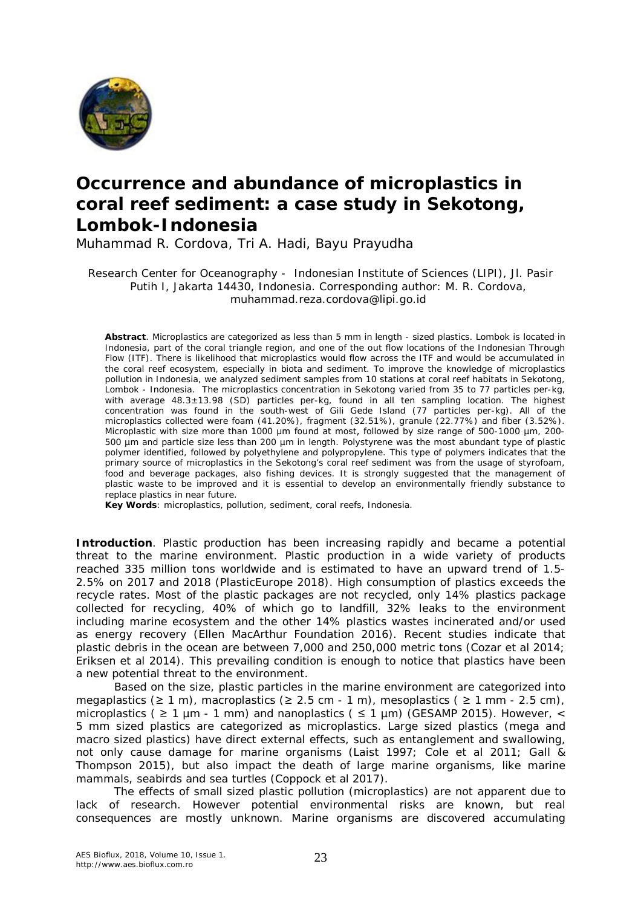

## **Occurrence and abundance of microplastics in coral reef sediment: a case study in Sekotong, Lombok-Indonesia**

Muhammad R. Cordova, Tri A. Hadi, Bayu Prayudha

Research Center for Oceanography - Indonesian Institute of Sciences (LIPI), Jl. Pasir Putih I, Jakarta 14430, Indonesia. Corresponding author: M. R. Cordova, muhammad.reza.cordova@lipi.go.id

**Abstract**. Microplastics are categorized as less than 5 mm in length - sized plastics. Lombok is located in Indonesia, part of the coral triangle region, and one of the out flow locations of the Indonesian Through Flow (ITF). There is likelihood that microplastics would flow across the ITF and would be accumulated in the coral reef ecosystem, especially in biota and sediment. To improve the knowledge of microplastics pollution in Indonesia, we analyzed sediment samples from 10 stations at coral reef habitats in Sekotong, Lombok - Indonesia. The microplastics concentration in Sekotong varied from 35 to 77 particles per-kg, with average 48.3±13.98 (SD) particles per-kg, found in all ten sampling location. The highest concentration was found in the south-west of Gili Gede Island (77 particles per-kg). All of the microplastics collected were foam (41.20%), fragment (32.51%), granule (22.77%) and fiber (3.52%). Microplastic with size more than 1000 μm found at most, followed by size range of 500-1000 µm, 200- 500 µm and particle size less than 200 µm in length. Polystyrene was the most abundant type of plastic polymer identified, followed by polyethylene and polypropylene. This type of polymers indicates that the primary source of microplastics in the Sekotong's coral reef sediment was from the usage of styrofoam, food and beverage packages, also fishing devices. It is strongly suggested that the management of plastic waste to be improved and it is essential to develop an environmentally friendly substance to replace plastics in near future.

**Key Words**: microplastics, pollution, sediment, coral reefs, Indonesia.

**Introduction**. Plastic production has been increasing rapidly and became a potential threat to the marine environment. Plastic production in a wide variety of products reached 335 million tons worldwide and is estimated to have an upward trend of 1.5- 2.5% on 2017 and 2018 (PlasticEurope 2018). High consumption of plastics exceeds the recycle rates. Most of the plastic packages are not recycled, only 14% plastics package collected for recycling, 40% of which go to landfill, 32% leaks to the environment including marine ecosystem and the other 14% plastics wastes incinerated and/or used as energy recovery (Ellen MacArthur Foundation 2016). Recent studies indicate that plastic debris in the ocean are between 7,000 and 250,000 metric tons (Cozar et al 2014; Eriksen et al 2014). This prevailing condition is enough to notice that plastics have been a new potential threat to the environment.

Based on the size, plastic particles in the marine environment are categorized into megaplastics ( $\geq 1$  m), macroplastics ( $\geq 2.5$  cm - 1 m), mesoplastics ( $\geq 1$  mm - 2.5 cm), microplastics ( $\geq 1$  µm - 1 mm) and nanoplastics ( $\leq 1$  µm) (GESAMP 2015). However, < 5 mm sized plastics are categorized as microplastics. Large sized plastics (mega and macro sized plastics) have direct external effects, such as entanglement and swallowing, not only cause damage for marine organisms (Laist 1997; Cole et al 2011; Gall & Thompson 2015), but also impact the death of large marine organisms, like marine mammals, seabirds and sea turtles (Coppock et al 2017).

The effects of small sized plastic pollution (microplastics) are not apparent due to lack of research. However potential environmental risks are known, but real consequences are mostly unknown. Marine organisms are discovered accumulating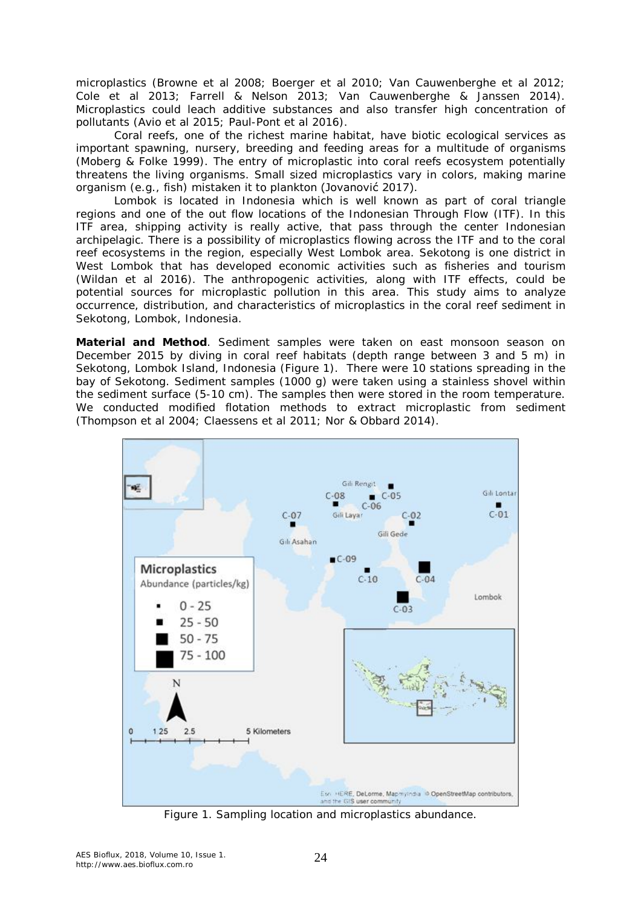microplastics (Browne et al 2008; Boerger et al 2010; Van Cauwenberghe et al 2012; Cole et al 2013; Farrell & Nelson 2013; Van Cauwenberghe & Janssen 2014). Microplastics could leach additive substances and also transfer high concentration of pollutants (Avio et al 2015; Paul-Pont et al 2016).

Coral reefs, one of the richest marine habitat, have biotic ecological services as important spawning, nursery, breeding and feeding areas for a multitude of organisms (Moberg & Folke 1999). The entry of microplastic into coral reefs ecosystem potentially threatens the living organisms. Small sized microplastics vary in colors, making marine organism (e.g., fish) mistaken it to plankton (Jovanović 2017).

Lombok is located in Indonesia which is well known as part of coral triangle regions and one of the out flow locations of the Indonesian Through Flow (ITF). In this ITF area, shipping activity is really active, that pass through the center Indonesian archipelagic. There is a possibility of microplastics flowing across the ITF and to the coral reef ecosystems in the region, especially West Lombok area. Sekotong is one district in West Lombok that has developed economic activities such as fisheries and tourism (Wildan et al 2016). The anthropogenic activities, along with ITF effects, could be potential sources for microplastic pollution in this area. This study aims to analyze occurrence, distribution, and characteristics of microplastics in the coral reef sediment in Sekotong, Lombok, Indonesia.

**Material and Method**. Sediment samples were taken on east monsoon season on December 2015 by diving in coral reef habitats (depth range between 3 and 5 m) in Sekotong, Lombok Island, Indonesia (Figure 1). There were 10 stations spreading in the bay of Sekotong. Sediment samples (1000 g) were taken using a stainless shovel within the sediment surface (5-10 cm). The samples then were stored in the room temperature. We conducted modified flotation methods to extract microplastic from sediment (Thompson et al 2004; Claessens et al 2011; Nor & Obbard 2014).



Figure 1. Sampling location and microplastics abundance.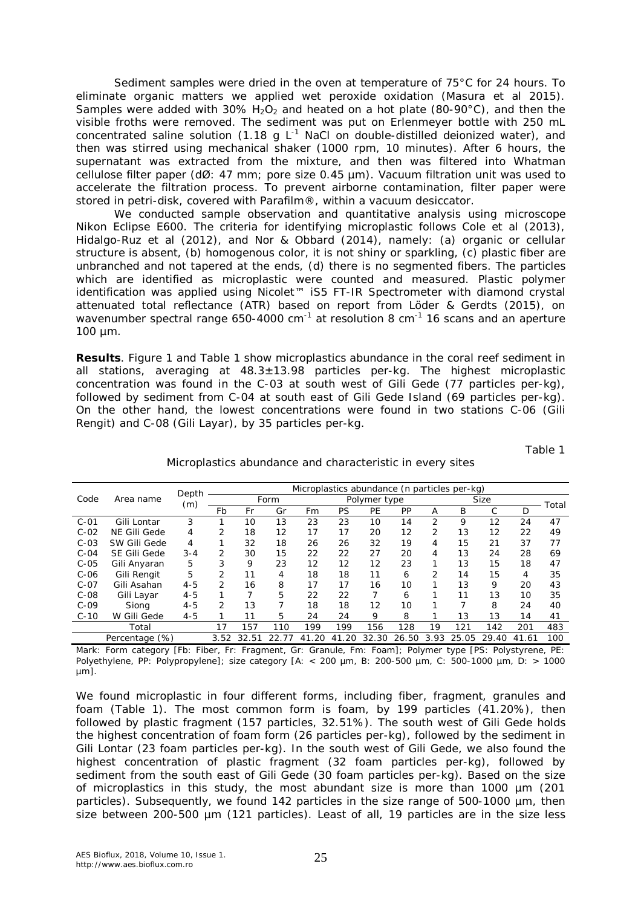Sediment samples were dried in the oven at temperature of 75°C for 24 hours. To eliminate organic matters we applied wet peroxide oxidation (Masura et al 2015). Samples were added with 30%  $H_2O_2$  and heated on a hot plate (80-90°C), and then the visible froths were removed. The sediment was put on Erlenmeyer bottle with 250 mL concentrated saline solution (1.18 g  $L^{-1}$  NaCl on double-distilled deionized water), and then was stirred using mechanical shaker (1000 rpm, 10 minutes). After 6 hours, the supernatant was extracted from the mixture, and then was filtered into Whatman cellulose filter paper (dØ: 47 mm; pore size 0.45 µm). Vacuum filtration unit was used to accelerate the filtration process. To prevent airborne contamination, filter paper were stored in petri-disk, covered with Parafilm®, within a vacuum desiccator.

We conducted sample observation and quantitative analysis using microscope Nikon Eclipse E600. The criteria for identifying microplastic follows Cole et al (2013), Hidalgo-Ruz et al (2012), and Nor & Obbard (2014), namely: (a) organic or cellular structure is absent, (b) homogenous color, it is not shiny or sparkling, (c) plastic fiber are unbranched and not tapered at the ends, (d) there is no segmented fibers. The particles which are identified as microplastic were counted and measured. Plastic polymer identification was applied using Nicolet™ iS5 FT-IR Spectrometer with diamond crystal attenuated total reflectance (ATR) based on report from Löder & Gerdts (2015), on wavenumber spectral range 650-4000 cm<sup>-1</sup> at resolution 8 cm<sup>-1</sup> 16 scans and an aperture 100 µm.

**Results**. Figure 1 and Table 1 show microplastics abundance in the coral reef sediment in all stations, averaging at  $48.3 \pm 13.98$  particles per-kg. The highest microplastic concentration was found in the C-03 at south west of Gili Gede (77 particles per-kg), followed by sediment from C-04 at south east of Gili Gede Island (69 particles per-kg). On the other hand, the lowest concentrations were found in two stations C-06 (Gili Rengit) and C-08 (Gili Layar), by 35 particles per-kg.

Table 1

|        | Area name      | Depth<br>(m) | Microplastics abundance (n particles per-kg) |       |     |           |              |       |       |             |       |       |       |       |
|--------|----------------|--------------|----------------------------------------------|-------|-----|-----------|--------------|-------|-------|-------------|-------|-------|-------|-------|
| Code   |                |              | Form                                         |       |     |           | Polymer type |       |       | <b>Size</b> |       |       |       | Total |
|        |                |              | Fb                                           | Fr    | Gr  | Fm        | PS           | РE    | PР    | Α           | B     | С     | D     |       |
| $C-01$ | Gili Lontar    | 3            |                                              | 10    | 13  | 23        | 23           | 10    | 14    | 2           | 9     | 12    | 24    | 47    |
| $C-02$ | NE Gili Gede   | 4            | 2                                            | 18    | 12  | 17        | 17           | 20    | 12    | 2           | 13    | 12    | 22    | 49    |
| $C-03$ | SW Gili Gede   | 4            |                                              | 32    | 18  | 26        | 26           | 32    | 19    | 4           | 15    | 21    | 37    | 77    |
| $C-04$ | SE Gili Gede   | $3 - 4$      | 2                                            | 30    | 15  | 22        | 22           | 27    | 20    | 4           | 13    | 24    | 28    | 69    |
| $C-05$ | Gili Anyaran   | 5            | 3                                            | 9     | 23  | 12        | 12           | 12    | 23    | 1           | 13    | 15    | 18    | 47    |
| $C-06$ | Gili Rengit    | 5            | 2                                            | 11    | 4   | 18        | 18           | 11    | 6     | 2           | 14    | 15    | 4     | 35    |
| $C-07$ | Gili Asahan    | $4 - 5$      | 2                                            | 16    | 8   | 17        | 17           | 16    | 10    | 1           | 13    | 9     | 20    | 43    |
| $C-08$ | Gili Layar     | $4 - 5$      |                                              |       | 5   | 22        | 22           |       | 6     |             | 11    | 13    | 10    | 35    |
| $C-09$ | Siona          | $4 - 5$      | 2                                            | 13    |     | 18        | 18           | 12    | 10    |             |       | 8     | 24    | 40    |
| $C-10$ | W Gili Gede    | $4 - 5$      |                                              | 11    | 5   | 24        | 24           | 9     | 8     |             | 13    | 13    | 14    | 41    |
|        | Total          |              | 17                                           | 157   | 110 | 199       | 199          | 156   | 128   | 19          | 121   | 142   | 201   | 483   |
|        | Percentage (%) |              | 3.52                                         | 32.51 | 22  | 41<br>.20 | 20<br>41     | 32.30 | 26.50 | 3.93        | 25.05 | 29.40 | 41.61 | 100   |

Microplastics abundance and characteristic in every sites

Mark: Form category [Fb: Fiber, Fr: Fragment, Gr: Granule, Fm: Foam]; Polymer type [PS: Polystyrene, PE: Polyethylene, PP: Polypropylene]; size category [A: < 200 µm, B: 200-500 µm, C: 500-1000 µm, D: > 1000 µm].

We found microplastic in four different forms, including fiber, fragment, granules and foam (Table 1). The most common form is foam, by 199 particles (41.20%), then followed by plastic fragment (157 particles, 32.51%). The south west of Gili Gede holds the highest concentration of foam form (26 particles per-kg), followed by the sediment in Gili Lontar (23 foam particles per-kg). In the south west of Gili Gede, we also found the highest concentration of plastic fragment (32 foam particles per-kg), followed by sediment from the south east of Gili Gede (30 foam particles per-kg). Based on the size of microplastics in this study, the most abundant size is more than 1000 µm (201 particles). Subsequently, we found 142 particles in the size range of 500-1000 µm, then size between 200-500 µm (121 particles). Least of all, 19 particles are in the size less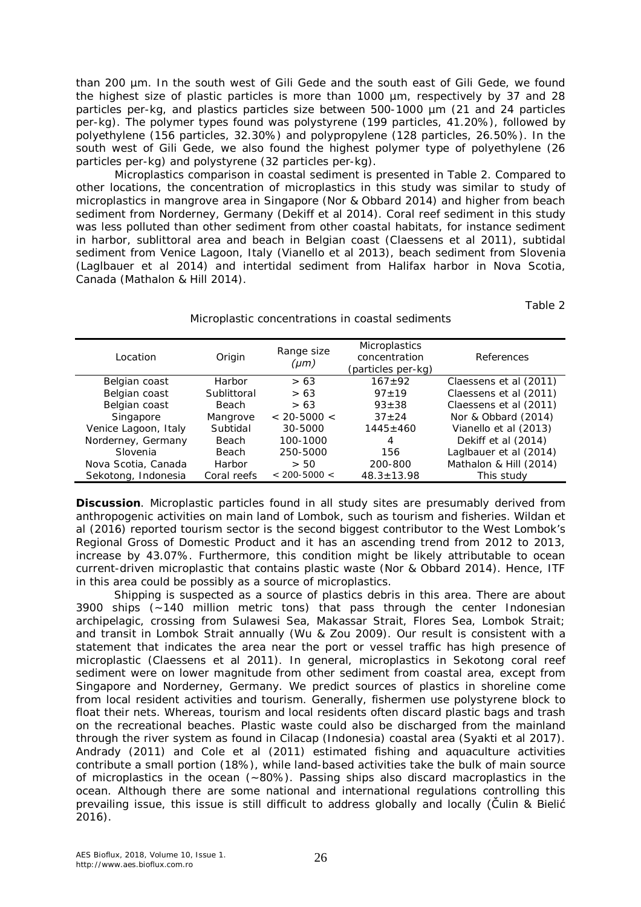than 200 µm. In the south west of Gili Gede and the south east of Gili Gede, we found the highest size of plastic particles is more than 1000 µm, respectively by 37 and 28 particles per-kg, and plastics particles size between 500-1000 µm (21 and 24 particles per-kg). The polymer types found was polystyrene (199 particles, 41.20%), followed by polyethylene (156 particles, 32.30%) and polypropylene (128 particles, 26.50%). In the south west of Gili Gede, we also found the highest polymer type of polyethylene (26 particles per-kg) and polystyrene (32 particles per-kg).

Microplastics comparison in coastal sediment is presented in Table 2. Compared to other locations, the concentration of microplastics in this study was similar to study of microplastics in mangrove area in Singapore (Nor & Obbard 2014) and higher from beach sediment from Norderney, Germany (Dekiff et al 2014). Coral reef sediment in this study was less polluted than other sediment from other coastal habitats, for instance sediment in harbor, sublittoral area and beach in Belgian coast (Claessens et al 2011), subtidal sediment from Venice Lagoon, Italy (Vianello et al 2013), beach sediment from Slovenia (Laglbauer et al 2014) and intertidal sediment from Halifax harbor in Nova Scotia, Canada (Mathalon & Hill 2014).

Table 2

|  | Microplastic concentrations in coastal sediments |  |  |
|--|--------------------------------------------------|--|--|
|  |                                                  |  |  |

| Location             | Origin       | Range size<br>(µm) | <b>Microplastics</b><br>concentration<br>(particles per-kg) | References             |  |  |
|----------------------|--------------|--------------------|-------------------------------------------------------------|------------------------|--|--|
| Belgian coast        | Harbor       | > 63               | $167 + 92$                                                  | Claessens et al (2011) |  |  |
| Belgian coast        | Sublittoral  | > 63               | $97 + 19$                                                   | Claessens et al (2011) |  |  |
| Belgian coast        | <b>Beach</b> | > 63               | $93 + 38$                                                   | Claessens et al (2011) |  |  |
| Singapore            | Mangrove     | $< 20 - 5000 <$    | $37 + 24$                                                   | Nor & Obbard (2014)    |  |  |
| Venice Lagoon, Italy | Subtidal     | 30-5000            | $1445 \pm 460$                                              | Vianello et al (2013)  |  |  |
| Norderney, Germany   | <b>Beach</b> | 100-1000           | 4                                                           | Dekiff et al (2014)    |  |  |
| Slovenia             | <b>Beach</b> | 250-5000           | 156                                                         | Laglbauer et al (2014) |  |  |
| Nova Scotia, Canada  | Harbor       | > 50               | 200-800                                                     | Mathalon & Hill (2014) |  |  |
| Sekotong, Indonesia  | Coral reefs  | $< 200 - 5000 <$   | $48.3 \pm 13.98$                                            | This study             |  |  |

**Discussion**. Microplastic particles found in all study sites are presumably derived from anthropogenic activities on main land of Lombok, such as tourism and fisheries. Wildan et al (2016) reported tourism sector is the second biggest contributor to the West Lombok's Regional Gross of Domestic Product and it has an ascending trend from 2012 to 2013, increase by 43.07%. Furthermore, this condition might be likely attributable to ocean current-driven microplastic that contains plastic waste (Nor & Obbard 2014). Hence, ITF in this area could be possibly as a source of microplastics.

Shipping is suspected as a source of plastics debris in this area. There are about 3900 ships (~140 million metric tons) that pass through the center Indonesian archipelagic, crossing from Sulawesi Sea, Makassar Strait, Flores Sea, Lombok Strait; and transit in Lombok Strait annually (Wu & Zou 2009). Our result is consistent with a statement that indicates the area near the port or vessel traffic has high presence of microplastic (Claessens et al 2011). In general, microplastics in Sekotong coral reef sediment were on lower magnitude from other sediment from coastal area, except from Singapore and Norderney, Germany. We predict sources of plastics in shoreline come from local resident activities and tourism. Generally, fishermen use polystyrene block to float their nets. Whereas, tourism and local residents often discard plastic bags and trash on the recreational beaches. Plastic waste could also be discharged from the mainland through the river system as found in Cilacap (Indonesia) coastal area (Syakti et al 2017). Andrady (2011) and Cole et al (2011) estimated fishing and aquaculture activities contribute a small portion (18%), while land-based activities take the bulk of main source of microplastics in the ocean (~80%). Passing ships also discard macroplastics in the ocean. Although there are some national and international regulations controlling this prevailing issue, this issue is still difficult to address globally and locally (Čulin & Bielić 2016).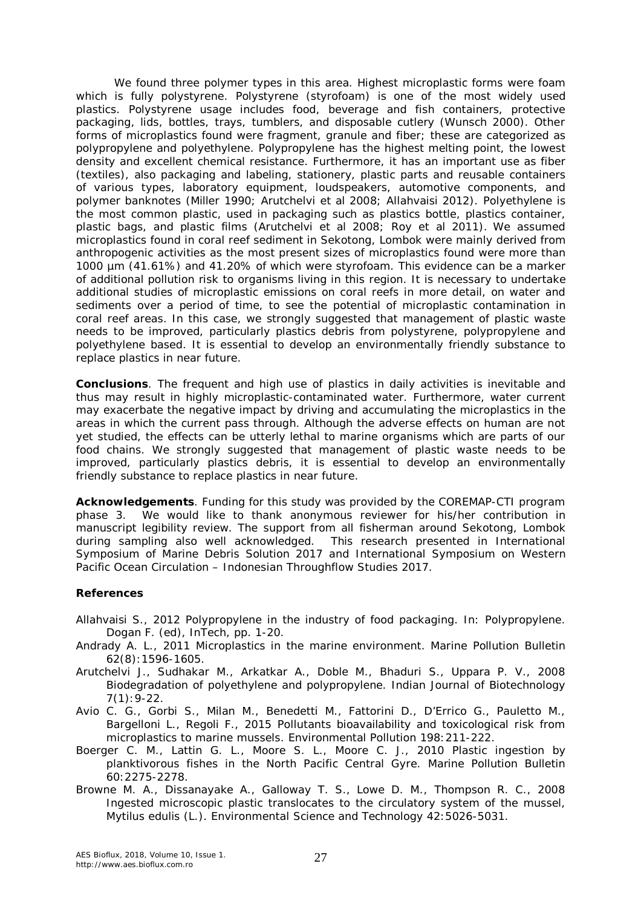We found three polymer types in this area. Highest microplastic forms were foam which is fully polystyrene. Polystyrene (styrofoam) is one of the most widely used plastics. Polystyrene usage includes food, beverage and fish containers, protective packaging, lids, bottles, trays, tumblers, and disposable cutlery (Wunsch 2000). Other forms of microplastics found were fragment, granule and fiber; these are categorized as polypropylene and polyethylene. Polypropylene has the highest melting point, the lowest density and excellent chemical resistance. Furthermore, it has an important use as fiber (textiles), also packaging and labeling, stationery, plastic parts and reusable containers of various types, laboratory equipment, loudspeakers, automotive components, and polymer banknotes (Miller 1990; Arutchelvi et al 2008; Allahvaisi 2012). Polyethylene is the most common plastic, used in packaging such as plastics bottle, plastics container, plastic bags, and plastic films (Arutchelvi et al 2008; Roy et al 2011). We assumed microplastics found in coral reef sediment in Sekotong, Lombok were mainly derived from anthropogenic activities as the most present sizes of microplastics found were more than 1000 µm (41.61%) and 41.20% of which were styrofoam. This evidence can be a marker of additional pollution risk to organisms living in this region. It is necessary to undertake additional studies of microplastic emissions on coral reefs in more detail, on water and sediments over a period of time, to see the potential of microplastic contamination in coral reef areas. In this case, we strongly suggested that management of plastic waste needs to be improved, particularly plastics debris from polystyrene, polypropylene and polyethylene based. It is essential to develop an environmentally friendly substance to replace plastics in near future.

**Conclusions**. The frequent and high use of plastics in daily activities is inevitable and thus may result in highly microplastic-contaminated water. Furthermore, water current may exacerbate the negative impact by driving and accumulating the microplastics in the areas in which the current pass through. Although the adverse effects on human are not yet studied, the effects can be utterly lethal to marine organisms which are parts of our food chains. We strongly suggested that management of plastic waste needs to be improved, particularly plastics debris, it is essential to develop an environmentally friendly substance to replace plastics in near future.

**Acknowledgements**. Funding for this study was provided by the COREMAP-CTI program phase 3. We would like to thank anonymous reviewer for his/her contribution in manuscript legibility review. The support from all fisherman around Sekotong, Lombok during sampling also well acknowledged. This research presented in International Symposium of Marine Debris Solution 2017 and International Symposium on Western Pacific Ocean Circulation – Indonesian Throughflow Studies 2017.

## **References**

- Allahvaisi S., 2012 Polypropylene in the industry of food packaging. In: Polypropylene. Dogan F. (ed), InTech, pp. 1-20.
- Andrady A. L., 2011 Microplastics in the marine environment. Marine Pollution Bulletin 62(8):1596-1605.
- Arutchelvi J., Sudhakar M., Arkatkar A., Doble M., Bhaduri S., Uppara P. V., 2008 Biodegradation of polyethylene and polypropylene. Indian Journal of Biotechnology 7(1):9-22.
- Avio C. G., Gorbi S., Milan M., Benedetti M., Fattorini D., D'Errico G., Pauletto M., Bargelloni L., Regoli F., 2015 Pollutants bioavailability and toxicological risk from microplastics to marine mussels. Environmental Pollution 198:211-222.
- Boerger C. M., Lattin G. L., Moore S. L., Moore C. J., 2010 Plastic ingestion by planktivorous fishes in the North Pacific Central Gyre. Marine Pollution Bulletin 60:2275-2278.
- Browne M. A., Dissanayake A., Galloway T. S., Lowe D. M., Thompson R. C., 2008 Ingested microscopic plastic translocates to the circulatory system of the mussel, *Mytilus edulis* (L.). Environmental Science and Technology 42:5026-5031.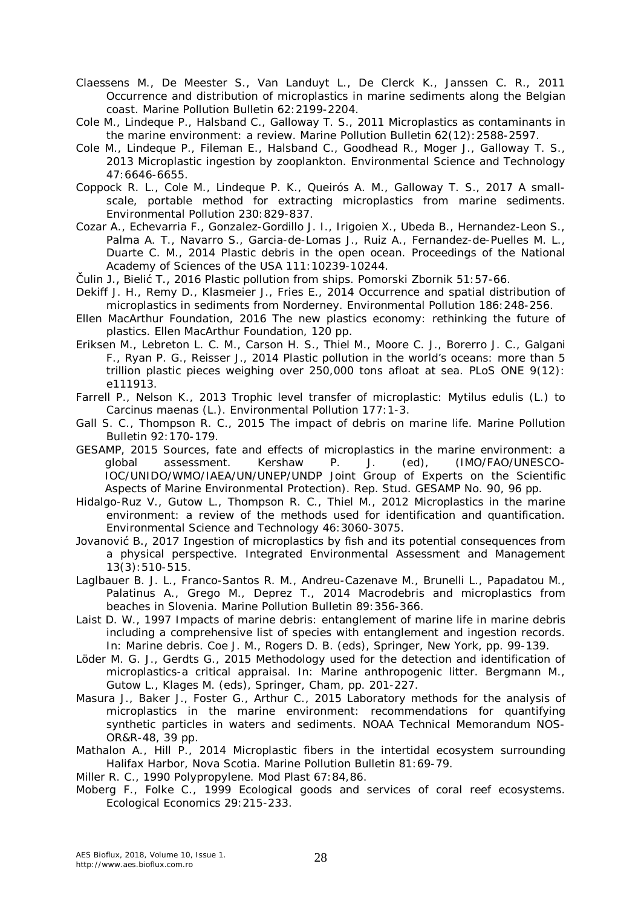- Claessens M., De Meester S., Van Landuyt L., De Clerck K., Janssen C. R., 2011 Occurrence and distribution of microplastics in marine sediments along the Belgian coast. Marine Pollution Bulletin 62:2199-2204.
- Cole M., Lindeque P., Halsband C., Galloway T. S., 2011 Microplastics as contaminants in the marine environment: a review. Marine Pollution Bulletin 62(12):2588-2597.
- Cole M., Lindeque P., Fileman E., Halsband C., Goodhead R., Moger J., Galloway T. S., 2013 Microplastic ingestion by zooplankton. Environmental Science and Technology 47:6646-6655.
- Coppock R. L., Cole M., Lindeque P. K., Queirós A. M., Galloway T. S., 2017 A smallscale, portable method for extracting microplastics from marine sediments. Environmental Pollution 230:829-837.
- Cozar A., Echevarria F., Gonzalez-Gordillo J. I., Irigoien X., Ubeda B., Hernandez-Leon S., Palma A. T., Navarro S., Garcia-de-Lomas J., Ruiz A., Fernandez-de-Puelles M. L., Duarte C. M., 2014 Plastic debris in the open ocean. Proceedings of the National Academy of Sciences of the USA 111:10239-10244.
- Čulin J., Bielić T., 2016 Plastic pollution from ships. Pomorski Zbornik 51:57-66.
- Dekiff J. H., Remy D., Klasmeier J., Fries E., 2014 Occurrence and spatial distribution of microplastics in sediments from Norderney. Environmental Pollution 186:248-256.
- Ellen MacArthur Foundation, 2016 The new plastics economy: rethinking the future of plastics. Ellen MacArthur Foundation, 120 pp.
- Eriksen M., Lebreton L. C. M., Carson H. S., Thiel M., Moore C. J., Borerro J. C., Galgani F., Ryan P. G., Reisser J., 2014 Plastic pollution in the world's oceans: more than 5 trillion plastic pieces weighing over 250,000 tons afloat at sea. PLoS ONE 9(12): e111913.
- Farrell P., Nelson K., 2013 Trophic level transfer of microplastic: *Mytilus edulis* (L.) to *Carcinus maenas* (L.). Environmental Pollution 177:1-3.
- Gall S. C., Thompson R. C., 2015 The impact of debris on marine life. Marine Pollution Bulletin 92:170-179.
- GESAMP, 2015 Sources, fate and effects of microplastics in the marine environment: a global assessment. Kershaw P. J. (ed), (IMO/FAO/UNESCO-IOC/UNIDO/WMO/IAEA/UN/UNEP/UNDP Joint Group of Experts on the Scientific Aspects of Marine Environmental Protection). Rep. Stud. GESAMP No. 90, 96 pp.
- Hidalgo-Ruz V., Gutow L., Thompson R. C., Thiel M., 2012 Microplastics in the marine environment: a review of the methods used for identification and quantification. Environmental Science and Technology 46:3060-3075.
- Jovanović B., 2017 Ingestion of microplastics by fish and its potential consequences from a physical perspective. Integrated Environmental Assessment and Management 13(3):510-515.
- Laglbauer B. J. L., Franco-Santos R. M., Andreu-Cazenave M., Brunelli L., Papadatou M., Palatinus A., Grego M., Deprez T., 2014 Macrodebris and microplastics from beaches in Slovenia. Marine Pollution Bulletin 89:356-366.
- Laist D. W., 1997 Impacts of marine debris: entanglement of marine life in marine debris including a comprehensive list of species with entanglement and ingestion records. In: Marine debris. Coe J. M., Rogers D. B. (eds), Springer, New York, pp. 99-139.
- Löder M. G. J., Gerdts G., 2015 Methodology used for the detection and identification of microplastics-a critical appraisal. In: Marine anthropogenic litter. Bergmann M., Gutow L., Klages M. (eds), Springer, Cham, pp. 201-227.
- Masura J., Baker J., Foster G., Arthur C., 2015 Laboratory methods for the analysis of microplastics in the marine environment: recommendations for quantifying synthetic particles in waters and sediments. NOAA Technical Memorandum NOS-OR&R-48, 39 pp.
- Mathalon A., Hill P., 2014 Microplastic fibers in the intertidal ecosystem surrounding Halifax Harbor, Nova Scotia. Marine Pollution Bulletin 81:69-79.

Miller R. C., 1990 Polypropylene. Mod Plast 67:84,86.

Moberg F., Folke C., 1999 Ecological goods and services of coral reef ecosystems. Ecological Economics 29:215-233.